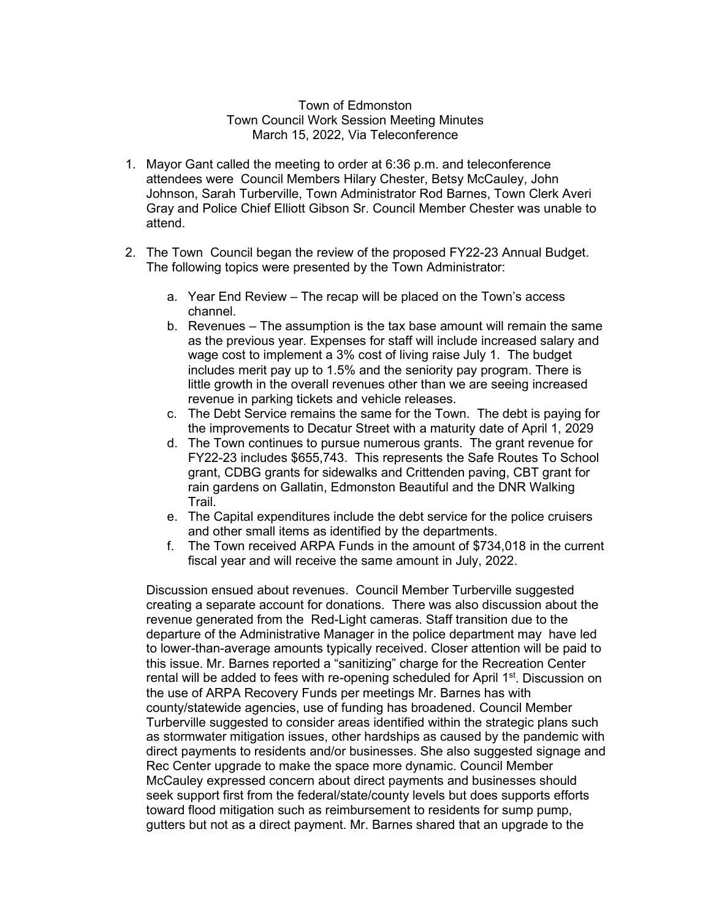## Town of Edmonston Town Council Work Session Meeting Minutes March 15, 2022, Via Teleconference

- 1. Mayor Gant called the meeting to order at 6:36 p.m. and teleconference attendees were Council Members Hilary Chester, Betsy McCauley, John Johnson, Sarah Turberville, Town Administrator Rod Barnes, Town Clerk Averi Gray and Police Chief Elliott Gibson Sr. Council Member Chester was unable to attend.
- 2. The Town Council began the review of the proposed FY22-23 Annual Budget. The following topics were presented by the Town Administrator:
	- a. Year End Review The recap will be placed on the Town's access channel.
	- b. Revenues The assumption is the tax base amount will remain the same as the previous year. Expenses for staff will include increased salary and wage cost to implement a 3% cost of living raise July 1. The budget includes merit pay up to 1.5% and the seniority pay program. There is little growth in the overall revenues other than we are seeing increased revenue in parking tickets and vehicle releases.
	- c. The Debt Service remains the same for the Town. The debt is paying for the improvements to Decatur Street with a maturity date of April 1, 2029
	- d. The Town continues to pursue numerous grants. The grant revenue for FY22-23 includes \$655,743. This represents the Safe Routes To School grant, CDBG grants for sidewalks and Crittenden paving, CBT grant for rain gardens on Gallatin, Edmonston Beautiful and the DNR Walking Trail.
	- e. The Capital expenditures include the debt service for the police cruisers and other small items as identified by the departments.
	- f. The Town received ARPA Funds in the amount of \$734,018 in the current fiscal year and will receive the same amount in July, 2022.

Discussion ensued about revenues. Council Member Turberville suggested creating a separate account for donations. There was also discussion about the revenue generated from the Red-Light cameras. Staff transition due to the departure of the Administrative Manager in the police department may have led to lower-than-average amounts typically received. Closer attention will be paid to this issue. Mr. Barnes reported a "sanitizing" charge for the Recreation Center rental will be added to fees with re-opening scheduled for April 1<sup>st</sup>. Discussion on the use of ARPA Recovery Funds per meetings Mr. Barnes has with county/statewide agencies, use of funding has broadened. Council Member Turberville suggested to consider areas identified within the strategic plans such as stormwater mitigation issues, other hardships as caused by the pandemic with direct payments to residents and/or businesses. She also suggested signage and Rec Center upgrade to make the space more dynamic. Council Member McCauley expressed concern about direct payments and businesses should seek support first from the federal/state/county levels but does supports efforts toward flood mitigation such as reimbursement to residents for sump pump, gutters but not as a direct payment. Mr. Barnes shared that an upgrade to the